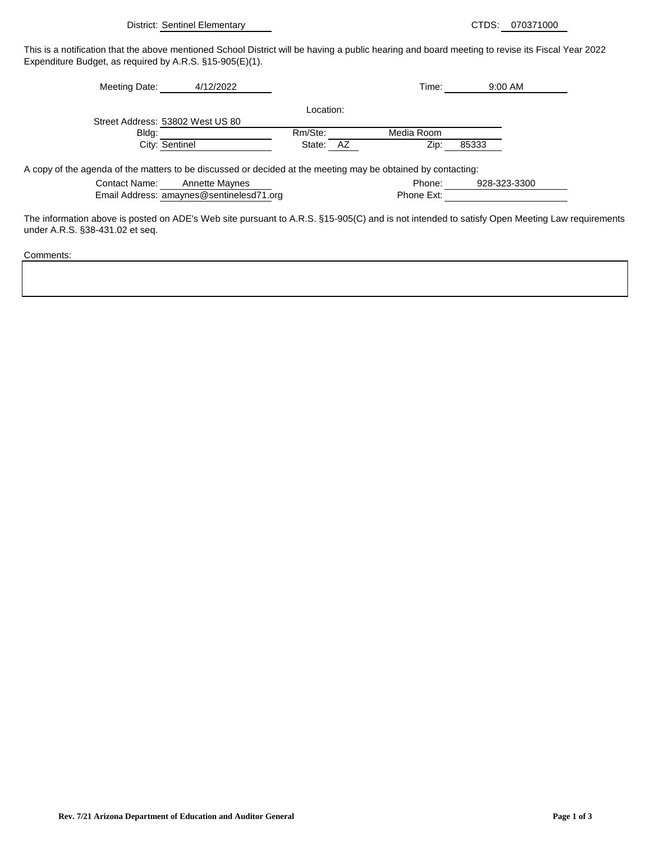District: Sentinel Elementary CTDS: 070371000

This is a notification that the above mentioned School District will be having a public hearing and board meeting to revise its Fiscal Year 2022 Expenditure Budget, as required by A.R.S. §15-905(E)(1).

| 4/12/2022<br>Meeting Date:                                                                                   |              |            |              |
|--------------------------------------------------------------------------------------------------------------|--------------|------------|--------------|
|                                                                                                              | Location:    |            |              |
| Street Address: 53802 West US 80                                                                             |              |            |              |
| Bldg:                                                                                                        | Rm/Ste:      | Media Room |              |
| City: Sentinel                                                                                               | AZ<br>State: | Zip:       | 85333        |
| A copy of the agenda of the matters to be discussed or decided at the meeting may be obtained by contacting: |              |            |              |
| Contact Name:<br><b>Annette Maynes</b>                                                                       |              | Phone:     | 928-323-3300 |
|                                                                                                              |              |            |              |
| Email Address: amaynes@sentinelesd71.org                                                                     |              | Phone Ext: |              |

The information above is posted on ADE's Web site pursuant to A.R.S. §15-905(C) and is not intended to satisfy Open Meeting Law requirements under A.R.S. §38-431.02 et seq.

Comments: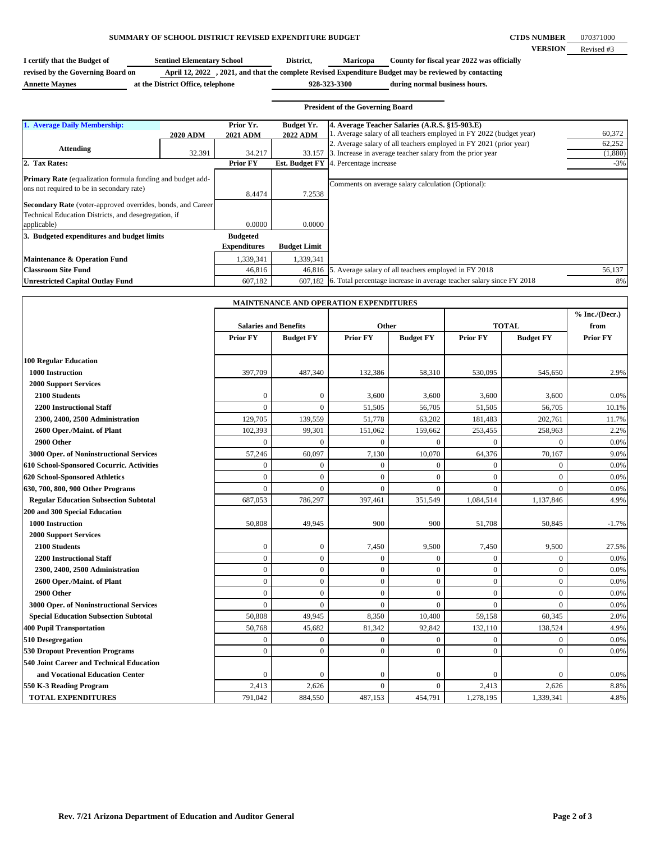## **SUMMARY OF SCHOOL DISTRICT REVISED EXPENDITURE BUDGET**

**CTDS NUMBER VERSION** 070371000 Revised #3

| I certify that the Budget of      | <b>Sentinel Elementary School</b> | District,    | <b>Maricopa</b> | County for fiscal year 2022 was officially                                                           |
|-----------------------------------|-----------------------------------|--------------|-----------------|------------------------------------------------------------------------------------------------------|
| revised by the Governing Board on |                                   |              |                 | April 12, 2022, 2021, and that the complete Revised Expenditure Budget may be reviewed by contacting |
| <b>Annette Maynes</b>             | at the District Office, telephone | 928-323-3300 |                 | during normal business hours.                                                                        |

|                                                                                                                            |                 |                              |                                      | <b>President of the Governing Board</b>                                                                               |         |
|----------------------------------------------------------------------------------------------------------------------------|-----------------|------------------------------|--------------------------------------|-----------------------------------------------------------------------------------------------------------------------|---------|
| 1. Average Daily Membership:                                                                                               | <b>2020 ADM</b> | Prior Yr.<br><b>2021 ADM</b> | <b>Budget Yr.</b><br><b>2022 ADM</b> | 4. Average Teacher Salaries (A.R.S. §15-903.E)<br>1. Average salary of all teachers employed in FY 2022 (budget year) | 60,372  |
| <b>Attending</b>                                                                                                           |                 |                              |                                      | 2. Average salary of all teachers employed in FY 2021 (prior year)                                                    | 62,252  |
|                                                                                                                            | 32.391          | 34.217                       | 33.157                               | 3. Increase in average teacher salary from the prior year                                                             | (1,880) |
| 2. Tax Rates:                                                                                                              |                 | <b>Prior FY</b>              | <b>Est. Budget FY</b>                | 4. Percentage increase                                                                                                | $-3%$   |
| <b>Primary Rate</b> (equalization formula funding and budget add-<br>ons not required to be in secondary rate)             |                 | 8.4474                       | 7.2538                               | Comments on average salary calculation (Optional):                                                                    |         |
| <b>Secondary Rate</b> (voter-approved overrides, bonds, and Career<br>Technical Education Districts, and desegregation, if |                 |                              |                                      |                                                                                                                       |         |
| applicable)                                                                                                                |                 | 0.0000                       | 0.0000                               |                                                                                                                       |         |
| 3. Budgeted expenditures and budget limits                                                                                 |                 | <b>Budgeted</b>              |                                      |                                                                                                                       |         |
|                                                                                                                            |                 | <b>Expenditures</b>          | <b>Budget Limit</b>                  |                                                                                                                       |         |
| Maintenance & Operation Fund                                                                                               |                 | 1,339,341                    | 1,339,341                            |                                                                                                                       |         |
| <b>Classroom Site Fund</b>                                                                                                 |                 | 46,816                       | 46,816                               | 5. Average salary of all teachers employed in FY 2018                                                                 | 56,137  |
| <b>Unrestricted Capital Outlay Fund</b>                                                                                    |                 | 607,182                      | 607.182                              | 6. Total percentage increase in average teacher salary since FY 2018                                                  | 8%      |

| MAINTENANCE AND OPERATION EXPENDITURES          |                              |                  |                  |                  |                 |                  |                          |
|-------------------------------------------------|------------------------------|------------------|------------------|------------------|-----------------|------------------|--------------------------|
|                                                 | <b>Salaries and Benefits</b> |                  | Other            |                  | <b>TOTAL</b>    |                  | $%$ Inc./(Decr.)<br>from |
|                                                 | <b>Prior FY</b>              | <b>Budget FY</b> | <b>Prior FY</b>  | <b>Budget FY</b> | <b>Prior FY</b> | <b>Budget FY</b> | <b>Prior FY</b>          |
| <b>100 Regular Education</b>                    |                              |                  |                  |                  |                 |                  |                          |
| 1000 Instruction                                | 397,709                      | 487,340          | 132,386          | 58,310           | 530,095         | 545,650          | 2.9%                     |
| <b>2000 Support Services</b>                    |                              |                  |                  |                  |                 |                  |                          |
| 2100 Students                                   | $\mathbf{0}$                 | $\mathbf{0}$     | 3,600            | 3,600            | 3,600           | 3,600            | 0.0%                     |
| <b>2200 Instructional Staff</b>                 | $\Omega$                     | $\theta$         | 51,505           | 56,705           | 51,505          | 56,705           | 10.1%                    |
| 2300, 2400, 2500 Administration                 | 129,705                      | 139,559          | 51,778           | 63,202           | 181,483         | 202,761          | 11.7%                    |
| 2600 Oper./Maint. of Plant                      | 102,393                      | 99,301           | 151,062          | 159,662          | 253,455         | 258,963          | 2.2%                     |
| 2900 Other                                      | $\overline{0}$               | $\mathbf{0}$     | $\mathbf{0}$     | $\mathbf{0}$     | $\mathbf{0}$    | $\Omega$         | 0.0%                     |
| 3000 Oper. of Noninstructional Services         | 57,246                       | 60,097           | 7,130            | 10,070           | 64,376          | 70,167           | 9.0%                     |
| 610 School-Sponsored Cocurric. Activities       | $\mathbf{0}$                 | $\overline{0}$   | $\boldsymbol{0}$ | $\mathbf{0}$     | $\mathbf{0}$    | $\mathbf{0}$     | 0.0%                     |
| 620 School-Sponsored Athletics                  | $\mathbf{0}$                 | $\overline{0}$   | $\mathbf{0}$     | $\mathbf{0}$     | $\mathbf{0}$    | $\mathbf{0}$     | 0.0%                     |
| 630, 700, 800, 900 Other Programs               | $\Omega$                     | $\theta$         | $\mathbf{0}$     | $\Omega$         | $\Omega$        | $\Omega$         | 0.0%                     |
| <b>Regular Education Subsection Subtotal</b>    | 687,053                      | 786,297          | 397,461          | 351,549          | 1,084,514       | 1,137,846        | 4.9%                     |
| 200 and 300 Special Education                   |                              |                  |                  |                  |                 |                  |                          |
| 1000 Instruction                                | 50,808                       | 49,945           | 900              | 900              | 51,708          | 50,845           | $-1.7%$                  |
| <b>2000 Support Services</b>                    |                              |                  |                  |                  |                 |                  |                          |
| 2100 Students                                   | $\mathbf{0}$                 | $\mathbf{0}$     | 7,450            | 9,500            | 7,450           | 9,500            | 27.5%                    |
| <b>2200 Instructional Staff</b>                 | $\overline{0}$               | $\overline{0}$   | $\overline{0}$   | $\mathbf{0}$     | $\mathbf{0}$    | $\mathbf{0}$     | 0.0%                     |
| 2300, 2400, 2500 Administration                 | $\overline{0}$               | $\overline{0}$   | $\mathbf{0}$     | $\mathbf{0}$     | $\mathbf{0}$    | $\mathbf{0}$     | 0.0%                     |
| 2600 Oper./Maint. of Plant                      | $\mathbf{0}$                 | $\mathbf{0}$     | $\mathbf{0}$     | $\mathbf{0}$     | $\mathbf{0}$    | $\mathbf{0}$     | 0.0%                     |
| 2900 Other                                      | $\overline{0}$               | $\overline{0}$   | $\mathbf{0}$     | $\mathbf{0}$     | $\mathbf{0}$    | $\mathbf{0}$     | 0.0%                     |
| 3000 Oper. of Noninstructional Services         | $\overline{0}$               | $\overline{0}$   | $\mathbf{0}$     | $\mathbf{0}$     | $\mathbf{0}$    | $\mathbf{0}$     | 0.0%                     |
| <b>Special Education Subsection Subtotal</b>    | 50,808                       | 49.945           | 8,350            | 10,400           | 59,158          | 60,345           | 2.0%                     |
| <b>400 Pupil Transportation</b>                 | 50,768                       | 45,682           | 81,342           | 92,842           | 132,110         | 138,524          | 4.9%                     |
| 510 Desegregation                               | $\overline{0}$               | $\mathbf{0}$     | $\mathbf{0}$     | $\mathbf{0}$     | $\mathbf{0}$    | $\mathbf{0}$     | 0.0%                     |
| <b>530 Dropout Prevention Programs</b>          | $\theta$                     | $\theta$         | $\Omega$         | $\theta$         | $\Omega$        | $\Omega$         | 0.0%                     |
| <b>540 Joint Career and Technical Education</b> |                              |                  |                  |                  |                 |                  |                          |
| and Vocational Education Center                 | $\mathbf{0}$                 | $\mathbf{0}$     | 0                | $\Omega$         | $\Omega$        | $\Omega$         | 0.0%                     |
| 550 K-3 Reading Program                         | 2,413                        | 2,626            | $\mathbf{0}$     | $\mathbf{0}$     | 2,413           | 2,626            | 8.8%                     |
| <b>TOTAL EXPENDITURES</b>                       | 791,042                      | 884,550          | 487,153          | 454,791          | 1,278,195       | 1,339,341        | 4.8%                     |